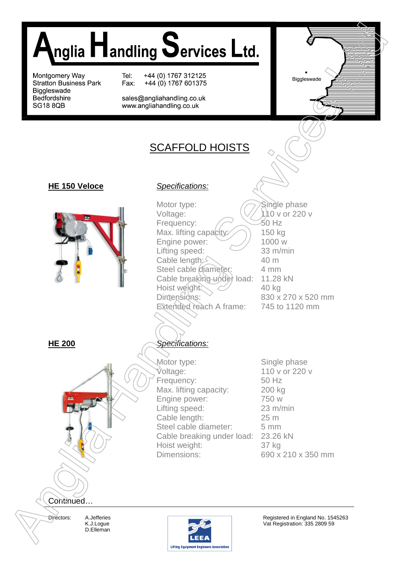

# SCAFFOLD HOISTS

# **HE 150 Veloce** *Specifications:*



Motor type: Voltage: Frequency: Max. lifting capacity: Engine power: Lifting speed: Cable length: $\leq$ Steel cable diameter: Cable breaking under load: Hoist weight: Dimensions: Extended reach A frame:

Single phase 110 v or 220 v 50 Hz 150 kg 1000 w 33 m/min 40 m 4 mm 11.28 kN 40 kg 830 x 270 x 520 mm 745 to 1120 mm



# **HE 200** *Specifications:*

Motor type: Voltage: Frequency: Max. lifting capacity: Engine power: Lifting speed: Cable length: Steel cable diameter: Cable breaking under load: 23.26 kN Hoist weight: Dimensions:

Single phase 110 v or 220 v 50 Hz 200 kg 750 w 23 m/min 25 m 5 mm 37 kg 690 x 210 x 350 mm

Directors: A.Jefferies K.J.Logue D.Elleman

Continued…



Registered in England No. 1545263 Vat Registration: 335 2809 59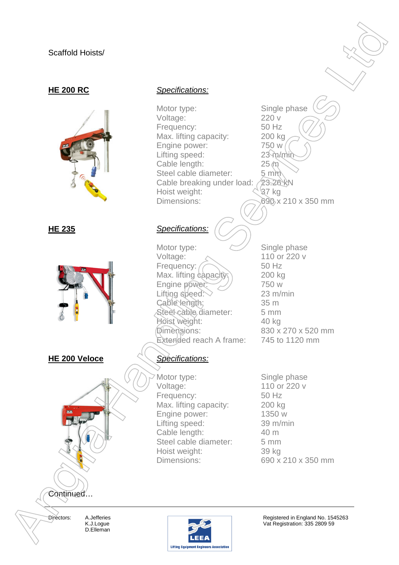# Scaffold Hoists/





**HE 200 Veloce** *Specifications:*

## **HE 200 RC** *Specifications:*

Motor type: Voltage: Frequency: Max. lifting capacity: Engine power: Lifting speed: Cable length: Steel cable diameter: Cable breaking under load: Hoist weight: Dimensions: Single phase 220 v 50 Hz 200 kg 750 w  $23$  m/min  $25$   $\hat{m}$  $5 \text{ min}$ 23.26 kN 37 kg 690 x 210 x 350 mm Scarfold Holista<br>
Male open:<br>
Male open:<br>
Male open:<br>
Male introd open:<br>
Male introd open:<br>
Male introd open:<br>
Handling open:<br>
Handling open:<br>
Ling open:<br>
Could service:<br>
Could be a service Could be a service of the servi

# **HE 235** *Specifications:*

Motor type: Voltage: Frequency: Max. lifting capacity Engine power: Lifting speed: Cable length: Steel cable diameter: Hoist weight: Dimensions: Extended reach A frame:

Motor type: Voltage: Frequency: Max. lifting capacity: Engine power: Lifting speed: Cable length: Steel cable diameter: Hoist weight: Dimensions:

Single phase 110 or 220 v 50 Hz 200 kg 750 w 23 m/min 35 m 5 mm 40 kg 830 x 270 x 520 mm 745 to 1120 mm

Single phase 110 or 220 v 50 Hz 200 kg 1350 w 39 m/min 40 m 5 mm 39 kg 690 x 210 x 350 mm

Directors: A.Jefferies K.J.Logue D.Elleman

Continued…